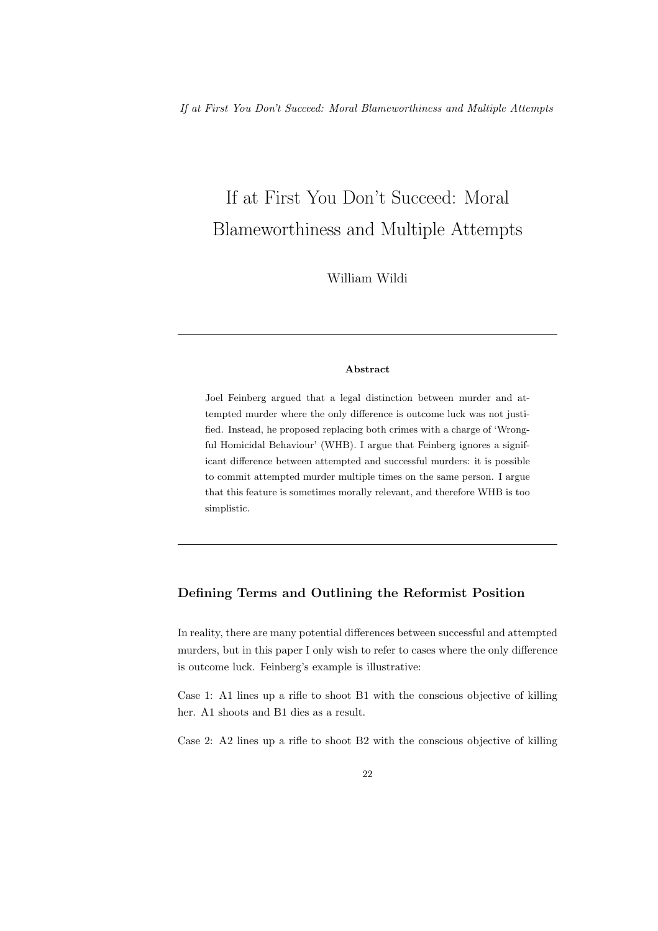# If at First You Don't Succeed: Moral Blameworthiness and Multiple Attempts

William Wildi

## Abstract

Joel Feinberg argued that a legal distinction between murder and attempted murder where the only difference is outcome luck was not justified. Instead, he proposed replacing both crimes with a charge of 'Wrongful Homicidal Behaviour' (WHB). I argue that Feinberg ignores a significant difference between attempted and successful murders: it is possible to commit attempted murder multiple times on the same person. I argue that this feature is sometimes morally relevant, and therefore WHB is too simplistic.

# Defining Terms and Outlining the Reformist Position

In reality, there are many potential differences between successful and attempted murders, but in this paper I only wish to refer to cases where the only difference is outcome luck. Feinberg's example is illustrative:

Case 1: A1 lines up a rifle to shoot B1 with the conscious objective of killing her. A1 shoots and B1 dies as a result.

Case 2: A2 lines up a rifle to shoot B2 with the conscious objective of killing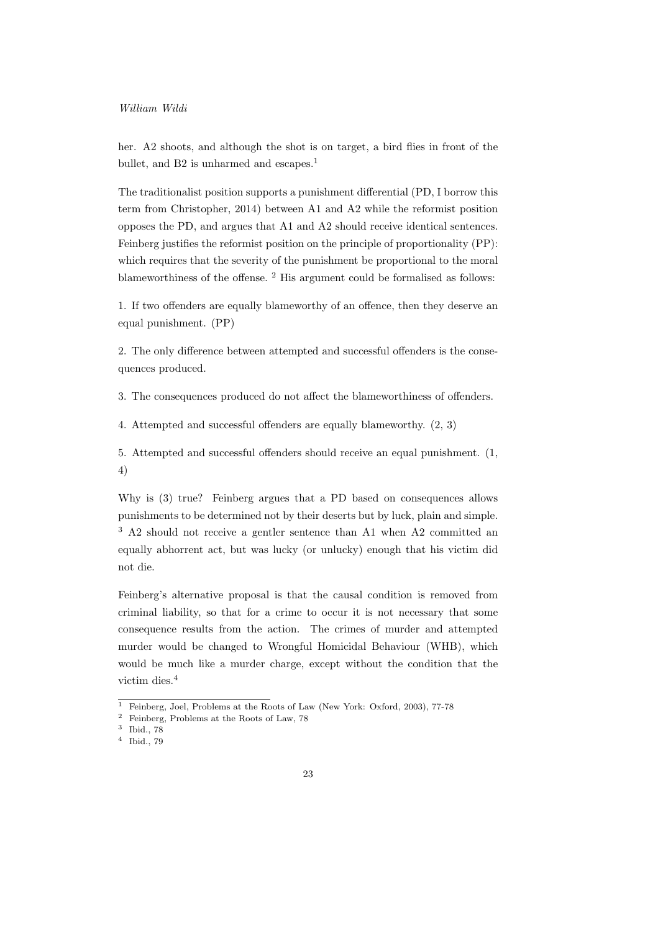her. A2 shoots, and although the shot is on target, a bird flies in front of the bullet, and B2 is unharmed and escapes.<sup>1</sup>

The traditionalist position supports a punishment differential (PD, I borrow this term from Christopher, 2014) between A1 and A2 while the reformist position opposes the PD, and argues that A1 and A2 should receive identical sentences. Feinberg justifies the reformist position on the principle of proportionality (PP): which requires that the severity of the punishment be proportional to the moral blameworthiness of the offense. <sup>2</sup> His argument could be formalised as follows:

1. If two offenders are equally blameworthy of an offence, then they deserve an equal punishment. (PP)

2. The only difference between attempted and successful offenders is the consequences produced.

3. The consequences produced do not affect the blameworthiness of offenders.

4. Attempted and successful offenders are equally blameworthy. (2, 3)

5. Attempted and successful offenders should receive an equal punishment. (1, 4)

Why is (3) true? Feinberg argues that a PD based on consequences allows punishments to be determined not by their deserts but by luck, plain and simple. <sup>3</sup> A2 should not receive a gentler sentence than A1 when A2 committed an equally abhorrent act, but was lucky (or unlucky) enough that his victim did not die.

Feinberg's alternative proposal is that the causal condition is removed from criminal liability, so that for a crime to occur it is not necessary that some consequence results from the action. The crimes of murder and attempted murder would be changed to Wrongful Homicidal Behaviour (WHB), which would be much like a murder charge, except without the condition that the victim dies.<sup>4</sup>

<sup>1</sup> Feinberg, Joel, Problems at the Roots of Law (New York: Oxford, 2003), 77-78

<sup>2</sup> Feinberg, Problems at the Roots of Law, 78

<sup>3</sup> Ibid., 78

<sup>4</sup> Ibid., 79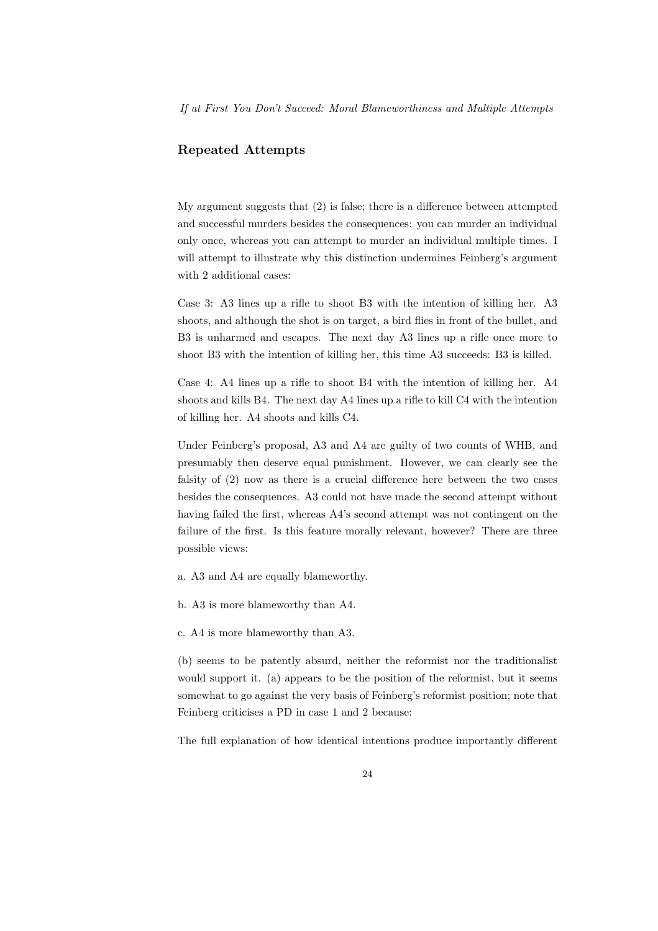## Repeated Attempts

My argument suggests that (2) is false; there is a difference between attempted and successful murders besides the consequences: you can murder an individual only once, whereas you can attempt to murder an individual multiple times. I will attempt to illustrate why this distinction undermines Feinberg's argument with 2 additional cases:

Case 3: A3 lines up a rifle to shoot B3 with the intention of killing her. A3 shoots, and although the shot is on target, a bird flies in front of the bullet, and B3 is unharmed and escapes. The next day A3 lines up a rifle once more to shoot B3 with the intention of killing her, this time A3 succeeds: B3 is killed.

Case 4: A4 lines up a rifle to shoot B4 with the intention of killing her. A4 shoots and kills B4. The next day A4 lines up a rifle to kill C4 with the intention of killing her. A4 shoots and kills C4.

Under Feinberg's proposal, A3 and A4 are guilty of two counts of WHB, and presumably then deserve equal punishment. However, we can clearly see the falsity of (2) now as there is a crucial difference here between the two cases besides the consequences. A3 could not have made the second attempt without having failed the first, whereas A4's second attempt was not contingent on the failure of the first. Is this feature morally relevant, however? There are three possible views:

- a. A3 and A4 are equally blameworthy.
- b. A3 is more blameworthy than A4.
- c. A4 is more blameworthy than A3.

(b) seems to be patently absurd, neither the reformist nor the traditionalist would support it. (a) appears to be the position of the reformist, but it seems somewhat to go against the very basis of Feinberg's reformist position; note that Feinberg criticises a PD in case 1 and 2 because:

The full explanation of how identical intentions produce importantly different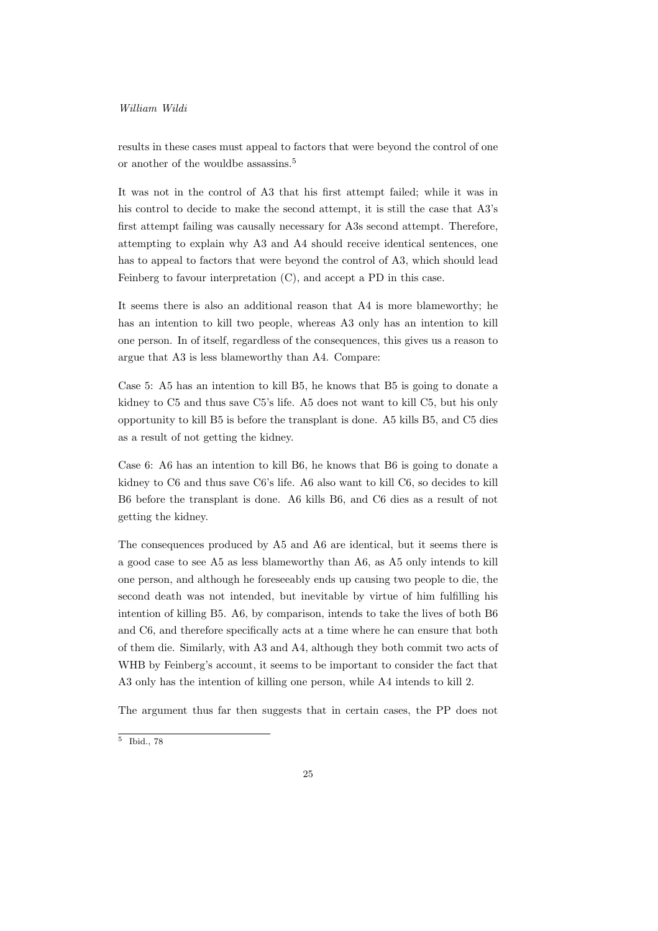results in these cases must appeal to factors that were beyond the control of one or another of the wouldbe assassins.<sup>5</sup>

It was not in the control of A3 that his first attempt failed; while it was in his control to decide to make the second attempt, it is still the case that A3's first attempt failing was causally necessary for A3s second attempt. Therefore, attempting to explain why A3 and A4 should receive identical sentences, one has to appeal to factors that were beyond the control of A3, which should lead Feinberg to favour interpretation (C), and accept a PD in this case.

It seems there is also an additional reason that A4 is more blameworthy; he has an intention to kill two people, whereas A3 only has an intention to kill one person. In of itself, regardless of the consequences, this gives us a reason to argue that A3 is less blameworthy than A4. Compare:

Case 5: A5 has an intention to kill B5, he knows that B5 is going to donate a kidney to C5 and thus save C5's life. A5 does not want to kill C5, but his only opportunity to kill B5 is before the transplant is done. A5 kills B5, and C5 dies as a result of not getting the kidney.

Case 6: A6 has an intention to kill B6, he knows that B6 is going to donate a kidney to C6 and thus save C6's life. A6 also want to kill C6, so decides to kill B6 before the transplant is done. A6 kills B6, and C6 dies as a result of not getting the kidney.

The consequences produced by A5 and A6 are identical, but it seems there is a good case to see A5 as less blameworthy than A6, as A5 only intends to kill one person, and although he foreseeably ends up causing two people to die, the second death was not intended, but inevitable by virtue of him fulfilling his intention of killing B5. A6, by comparison, intends to take the lives of both B6 and C6, and therefore specifically acts at a time where he can ensure that both of them die. Similarly, with A3 and A4, although they both commit two acts of WHB by Feinberg's account, it seems to be important to consider the fact that A3 only has the intention of killing one person, while A4 intends to kill 2.

The argument thus far then suggests that in certain cases, the PP does not

<sup>5</sup> Ibid., 78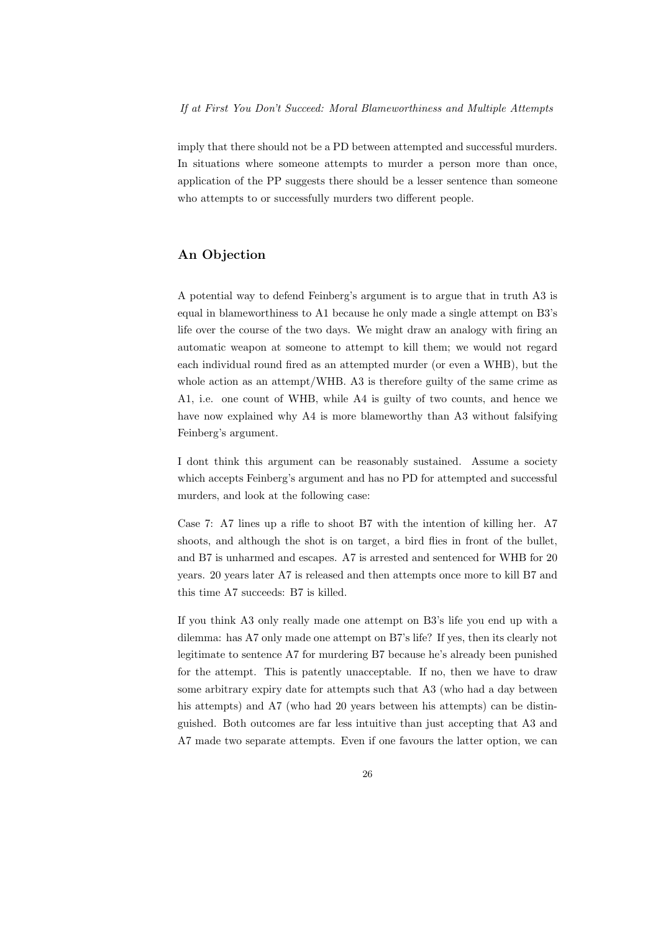imply that there should not be a PD between attempted and successful murders. In situations where someone attempts to murder a person more than once, application of the PP suggests there should be a lesser sentence than someone who attempts to or successfully murders two different people.

## An Objection

A potential way to defend Feinberg's argument is to argue that in truth A3 is equal in blameworthiness to A1 because he only made a single attempt on B3's life over the course of the two days. We might draw an analogy with firing an automatic weapon at someone to attempt to kill them; we would not regard each individual round fired as an attempted murder (or even a WHB), but the whole action as an attempt/WHB. A3 is therefore guilty of the same crime as A1, i.e. one count of WHB, while A4 is guilty of two counts, and hence we have now explained why A4 is more blameworthy than A3 without falsifying Feinberg's argument.

I dont think this argument can be reasonably sustained. Assume a society which accepts Feinberg's argument and has no PD for attempted and successful murders, and look at the following case:

Case 7: A7 lines up a rifle to shoot B7 with the intention of killing her. A7 shoots, and although the shot is on target, a bird flies in front of the bullet, and B7 is unharmed and escapes. A7 is arrested and sentenced for WHB for 20 years. 20 years later A7 is released and then attempts once more to kill B7 and this time A7 succeeds: B7 is killed.

If you think A3 only really made one attempt on B3's life you end up with a dilemma: has A7 only made one attempt on B7's life? If yes, then its clearly not legitimate to sentence A7 for murdering B7 because he's already been punished for the attempt. This is patently unacceptable. If no, then we have to draw some arbitrary expiry date for attempts such that A3 (who had a day between his attempts) and A7 (who had 20 years between his attempts) can be distinguished. Both outcomes are far less intuitive than just accepting that A3 and A7 made two separate attempts. Even if one favours the latter option, we can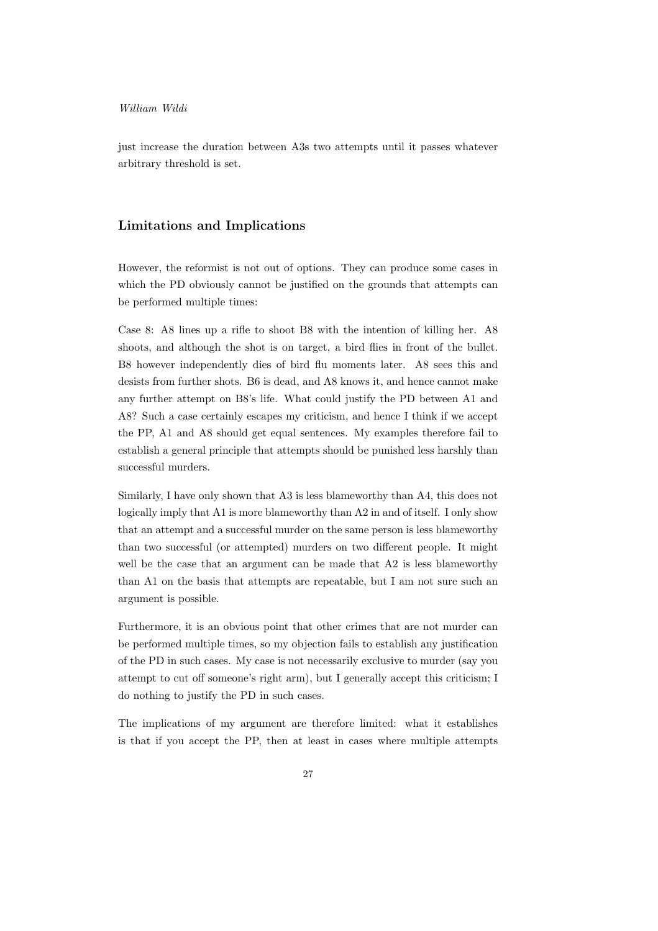just increase the duration between A3s two attempts until it passes whatever arbitrary threshold is set.

# Limitations and Implications

However, the reformist is not out of options. They can produce some cases in which the PD obviously cannot be justified on the grounds that attempts can be performed multiple times:

Case 8: A8 lines up a rifle to shoot B8 with the intention of killing her. A8 shoots, and although the shot is on target, a bird flies in front of the bullet. B8 however independently dies of bird flu moments later. A8 sees this and desists from further shots. B6 is dead, and A8 knows it, and hence cannot make any further attempt on B8's life. What could justify the PD between A1 and A8? Such a case certainly escapes my criticism, and hence I think if we accept the PP, A1 and A8 should get equal sentences. My examples therefore fail to establish a general principle that attempts should be punished less harshly than successful murders.

Similarly, I have only shown that A3 is less blameworthy than A4, this does not logically imply that A1 is more blameworthy than A2 in and of itself. I only show that an attempt and a successful murder on the same person is less blameworthy than two successful (or attempted) murders on two different people. It might well be the case that an argument can be made that A2 is less blameworthy than A1 on the basis that attempts are repeatable, but I am not sure such an argument is possible.

Furthermore, it is an obvious point that other crimes that are not murder can be performed multiple times, so my objection fails to establish any justification of the PD in such cases. My case is not necessarily exclusive to murder (say you attempt to cut off someone's right arm), but I generally accept this criticism; I do nothing to justify the PD in such cases.

The implications of my argument are therefore limited: what it establishes is that if you accept the PP, then at least in cases where multiple attempts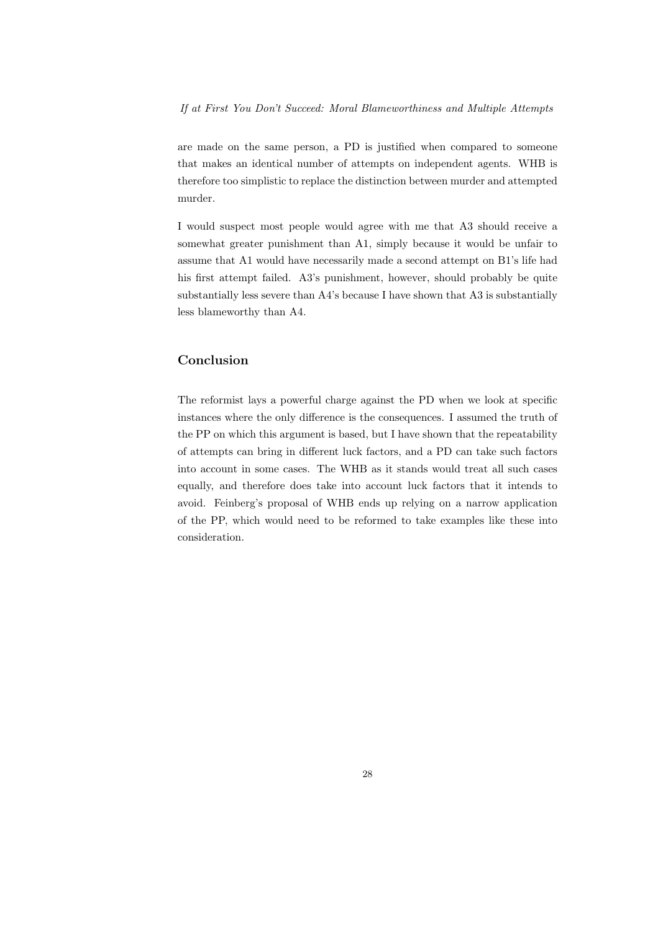are made on the same person, a PD is justified when compared to someone that makes an identical number of attempts on independent agents. WHB is therefore too simplistic to replace the distinction between murder and attempted murder.

I would suspect most people would agree with me that A3 should receive a somewhat greater punishment than A1, simply because it would be unfair to assume that A1 would have necessarily made a second attempt on B1's life had his first attempt failed. A3's punishment, however, should probably be quite substantially less severe than A4's because I have shown that A3 is substantially less blameworthy than A4.

# Conclusion

The reformist lays a powerful charge against the PD when we look at specific instances where the only difference is the consequences. I assumed the truth of the PP on which this argument is based, but I have shown that the repeatability of attempts can bring in different luck factors, and a PD can take such factors into account in some cases. The WHB as it stands would treat all such cases equally, and therefore does take into account luck factors that it intends to avoid. Feinberg's proposal of WHB ends up relying on a narrow application of the PP, which would need to be reformed to take examples like these into consideration.